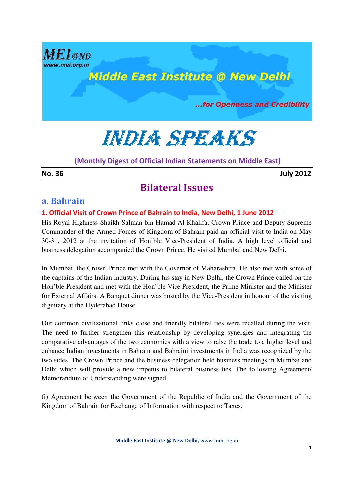

# INDIA SPEAKS

(Monthly Digest of Official Indian Statements on Middle East)

No. 36 July 2012

# Bilateral Issues

# a. Bahrain

#### 1. Official Visit of Crown Prince of Bahrain to India, New Delhi, 1 June 2012

His Royal Highness Shaikh Salman bin Hamad Al Khalifa, Crown Prince and Deputy Supreme Commander of the Armed Forces of Kingdom of Bahrain paid an official visit to India on May 30-31, 2012 at the invitation of Hon'ble Vice-President of India. A high level official and business delegation accompanied the Crown Prince. He visited Mumbai and New Delhi.

In Mumbai, the Crown Prince met with the Governor of Maharashtra. He also met with some of the captains of the Indian industry. During his stay in New Delhi, the Crown Prince called on the Hon'ble President and met with the Hon'ble Vice President, the Prime Minister and the Minister for External Affairs. A Banquet dinner was hosted by the Vice-President in honour of the visiting dignitary at the Hyderabad House.

Our common civilizational links close and friendly bilateral ties were recalled during the visit. The need to further strengthen this relationship by developing synergies and integrating the comparative advantages of the two economies with a view to raise the trade to a higher level and enhance Indian investments in Bahrain and Bahraini investments in India was recognized by the two sides. The Crown Prince and the business delegation held business meetings in Mumbai and Delhi which will provide a new impetus to bilateral business ties. The following Agreement/ Memorandum of Understanding were signed.

(i) Agreement between the Government of the Republic of India and the Government of the Kingdom of Bahrain for Exchange of Information with respect to Taxes.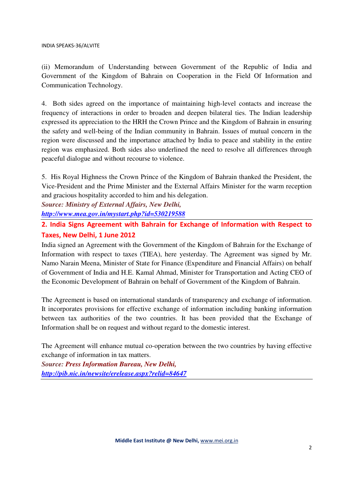(ii) Memorandum of Understanding between Government of the Republic of India and Government of the Kingdom of Bahrain on Cooperation in the Field Of Information and Communication Technology.

4. Both sides agreed on the importance of maintaining high-level contacts and increase the frequency of interactions in order to broaden and deepen bilateral ties. The Indian leadership expressed its appreciation to the HRH the Crown Prince and the Kingdom of Bahrain in ensuring the safety and well-being of the Indian community in Bahrain. Issues of mutual concern in the region were discussed and the importance attached by India to peace and stability in the entire region was emphasized. Both sides also underlined the need to resolve all differences through peaceful dialogue and without recourse to violence.

5. His Royal Highness the Crown Prince of the Kingdom of Bahrain thanked the President, the Vice-President and the Prime Minister and the External Affairs Minister for the warm reception and gracious hospitality accorded to him and his delegation.

*Source: Ministry of External Affairs, New Delhi, http://www.mea.gov.in/mystart.php?id=530219588*

# 2. India Signs Agreement with Bahrain for Exchange of Information with Respect to Taxes, New Delhi, 1 June 2012

India signed an Agreement with the Government of the Kingdom of Bahrain for the Exchange of Information with respect to taxes (TIEA), here yesterday. The Agreement was signed by Mr. Namo Narain Meena, Minister of State for Finance (Expenditure and Financial Affairs) on behalf of Government of India and H.E. Kamal Ahmad, Minister for Transportation and Acting CEO of the Economic Development of Bahrain on behalf of Government of the Kingdom of Bahrain.

The Agreement is based on international standards of transparency and exchange of information. It incorporates provisions for effective exchange of information including banking information between tax authorities of the two countries. It has been provided that the Exchange of Information shall be on request and without regard to the domestic interest.

The Agreement will enhance mutual co-operation between the two countries by having effective exchange of information in tax matters.

*Source: Press Information Bureau, New Delhi, http://pib.nic.in/newsite/erelease.aspx?relid=84647*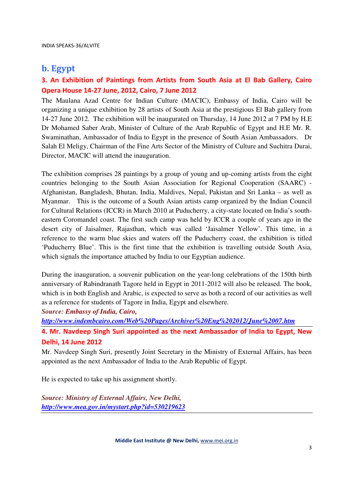# b. Egypt

# 3. An Exhibition of Paintings from Artists from South Asia at El Bab Gallery, Cairo Opera House 14-27 June, 2012, Cairo, 7 June 2012

The Maulana Azad Centre for Indian Culture (MACIC), Embassy of India, Cairo will be organizing a unique exhibition by 28 artists of South Asia at the prestigious El Bab gallery from 14-27 June 2012. The exhibition will be inaugurated on Thursday, 14 June 2012 at 7 PM by H.E Dr Mohamed Saber Arab, Minister of Culture of the Arab Republic of Egypt and H.E Mr. R. Swaminathan, Ambassador of India to Egypt in the presence of South Asian Ambassadors. Dr Salah El Meligy, Chairman of the Fine Arts Sector of the Ministry of Culture and Suchitra Durai, Director, MACIC will attend the inauguration.

The exhibition comprises 28 paintings by a group of young and up-coming artists from the eight countries belonging to the South Asian Association for Regional Cooperation (SAARC) - Afghanistan, Bangladesh, Bhutan, India, Maldives, Nepal, Pakistan and Sri Lanka – as well as Myanmar. This is the outcome of a South Asian artists camp organized by the Indian Council for Cultural Relations (ICCR) in March 2010 at Puducherry, a city-state located on India's southeastern Coromandel coast. The first such camp was held by ICCR a couple of years ago in the desert city of Jaisalmer, Rajasthan, which was called 'Jaisalmer Yellow'. This time, in a reference to the warm blue skies and waters off the Puducherry coast, the exhibition is titled 'Puducherry Blue'. This is the first time that the exhibition is travelling outside South Asia, which signals the importance attached by India to our Egyptian audience.

During the inauguration, a souvenir publication on the year-long celebrations of the 150th birth anniversary of Rabindranath Tagore held in Egypt in 2011-2012 will also be released. The book, which is in both English and Arabic, is expected to serve as both a record of our activities as well as a reference for students of Tagore in India, Egypt and elsewhere.

*Source: Embassy of India, Cairo,* 

*http://www.indembcairo.com/Web%20Pages/Archives%20Eng%202012/June%2007.htm*

4. Mr. Navdeep Singh Suri appointed as the next Ambassador of India to Egypt, New Delhi, 14 June 2012

Mr. Navdeep Singh Suri, presently Joint Secretary in the Ministry of External Affairs, has been appointed as the next Ambassador of India to the Arab Republic of Egypt.

He is expected to take up his assignment shortly.

*Source: Ministry of External Affairs, New Delhi, http://www.mea.gov.in/mystart.php?id=530219623*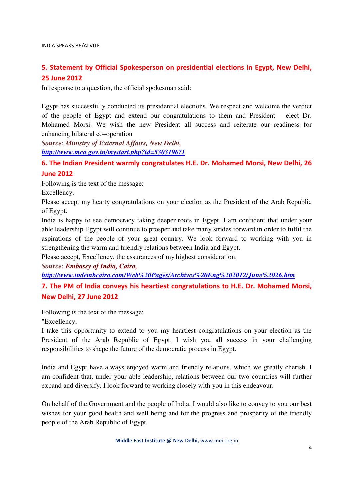# 5. Statement by Official Spokesperson on presidential elections in Egypt, New Delhi, 25 June 2012

In response to a question, the official spokesman said:

Egypt has successfully conducted its presidential elections. We respect and welcome the verdict of the people of Egypt and extend our congratulations to them and President – elect Dr. Mohamed Morsi. We wish the new President all success and reiterate our readiness for enhancing bilateral co–operation

*Source: Ministry of External Affairs, New Delhi, http://www.mea.gov.in/mystart.php?id=530319671*

6. The Indian President warmly congratulates H.E. Dr. Mohamed Morsi, New Delhi, 26 June 2012

Following is the text of the message:

Excellency,

Please accept my hearty congratulations on your election as the President of the Arab Republic of Egypt.

India is happy to see democracy taking deeper roots in Egypt. I am confident that under your able leadership Egypt will continue to prosper and take many strides forward in order to fulfil the aspirations of the people of your great country. We look forward to working with you in strengthening the warm and friendly relations between India and Egypt.

Please accept, Excellency, the assurances of my highest consideration.

*Source: Embassy of India, Cairo,* 

*http://www.indembcairo.com/Web%20Pages/Archives%20Eng%202012/June%2026.htm*

7. The PM of India conveys his heartiest congratulations to H.E. Dr. Mohamed Morsi, New Delhi, 27 June 2012

Following is the text of the message:

"Excellency,

I take this opportunity to extend to you my heartiest congratulations on your election as the President of the Arab Republic of Egypt. I wish you all success in your challenging responsibilities to shape the future of the democratic process in Egypt.

India and Egypt have always enjoyed warm and friendly relations, which we greatly cherish. I am confident that, under your able leadership, relations between our two countries will further expand and diversify. I look forward to working closely with you in this endeavour.

On behalf of the Government and the people of India, I would also like to convey to you our best wishes for your good health and well being and for the progress and prosperity of the friendly people of the Arab Republic of Egypt.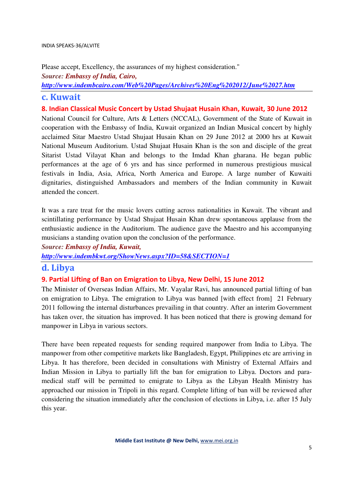Please accept, Excellency, the assurances of my highest consideration."

*Source: Embassy of India, Cairo,*

*http://www.indembcairo.com/Web%20Pages/Archives%20Eng%202012/June%2027.htm*

# c. Kuwait

8. Indian Classical Music Concert by Ustad Shujaat Husain Khan, Kuwait, 30 June 2012

National Council for Culture, Arts & Letters (NCCAL), Government of the State of Kuwait in cooperation with the Embassy of India, Kuwait organized an Indian Musical concert by highly acclaimed Sitar Maestro Ustad Shujaat Husain Khan on 29 June 2012 at 2000 hrs at Kuwait National Museum Auditorium. Ustad Shujaat Husain Khan is the son and disciple of the great Sitarist Ustad Vilayat Khan and belongs to the Imdad Khan gharana. He began public performances at the age of 6 yrs and has since performed in numerous prestigious musical festivals in India, Asia, Africa, North America and Europe. A large number of Kuwaiti dignitaries, distinguished Ambassadors and members of the Indian community in Kuwait attended the concert.

It was a rare treat for the music lovers cutting across nationalities in Kuwait. The vibrant and scintillating performance by Ustad Shujaat Husain Khan drew spontaneous applause from the enthusiastic audience in the Auditorium. The audience gave the Maestro and his accompanying musicians a standing ovation upon the conclusion of the performance.

*Source: Embassy of India, Kuwait,* 

*http://www.indembkwt.org/ShowNews.aspx?ID=58&SECTION=1*

# d. Libya

#### 9. Partial Lifting of Ban on Emigration to Libya, New Delhi, 15 June 2012

The Minister of Overseas Indian Affairs, Mr. Vayalar Ravi, has announced partial lifting of ban on emigration to Libya. The emigration to Libya was banned [with effect from] 21 February 2011 following the internal disturbances prevailing in that country. After an interim Government has taken over, the situation has improved. It has been noticed that there is growing demand for manpower in Libya in various sectors.

There have been repeated requests for sending required manpower from India to Libya. The manpower from other competitive markets like Bangladesh, Egypt, Philippines etc are arriving in Libya. It has therefore, been decided in consultations with Ministry of External Affairs and Indian Mission in Libya to partially lift the ban for emigration to Libya. Doctors and paramedical staff will be permitted to emigrate to Libya as the Libyan Health Ministry has approached our mission in Tripoli in this regard. Complete lifting of ban will be reviewed after considering the situation immediately after the conclusion of elections in Libya, i.e. after 15 July this year.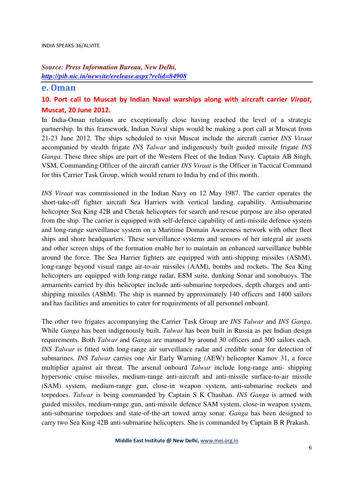#### *Source: Press Information Bureau, New Delhi, http://pib.nic.in/newsite/erelease.aspx?relid=84908*

#### e. Oman

# 10. Port call to Muscat by Indian Naval warships along with aircraft carrier Viraat, Muscat, 20 June 2012.

In India-Oman relations are exceptionally close having reached the level of a strategic partnership. In this framework, Indian Naval ships would be making a port call at Muscat from 21-23 June 2012. The ships scheduled to visit Muscat include the aircraft carrier *INS Viraat* accompanied by stealth frigate *INS Talwar* and indigenously built guided missile frigate *INS Ganga*. These three ships are part of the Western Fleet of the Indian Navy. Captain AB Singh, VSM, Commanding Officer of the aircraft carrier *INS Viraat* is the Officer in Tactical Command for this Carrier Task Group, which would return to India by end of this month.

*INS Viraat* was commissioned in the Indian Navy on 12 May 1987. The carrier operates the short-take-off fighter aircraft Sea Harriers with vertical landing capability. Antisubmarine helicopter Sea King 42B and Chetak helicopters for search and rescue purpose are also operated from the ship. The carrier is equipped with self-defence capability of anti-missile defence system and long-range surveillance system on a Maritime Domain Awareness network with other fleet ships and shore headquarters. These surveillance systems and sensors of her integral air assets and other screen ships of the formation enable her to maintain an enhanced surveillance bubble around the force. The Sea Harrier fighters are equipped with anti-shipping missiles (AShM), long-range beyond visual range air-to-air missiles (AAM), bombs and rockets. The Sea King helicopters are equipped with long-range radar, ESM suite, dunking Sonar and sonobuoys. The armaments carried by this helicopter include anti-submarine torpedoes, depth charges and antishipping missiles (AShM). The ship is manned by approximately 140 officers and 1400 sailors and has facilities and amenities to cater for requirements of all personnel onboard.

The other two frigates accompanying the Carrier Task Group are *INS Talwar* and *INS Ganga*. While *Ganga* has been indigenously built, *Talwar* has been built in Russia as per Indian design requirements. Both *Talwar* and *Ganga* are manned by around 30 officers and 300 sailors each. *INS Talwar* is fitted with long-range air surveillance radar and credible sonar for detection of submarines. *INS Talwar* carries one Air Early Warning (AEW) helicopter Kamov 31, a force multiplier against air threat. The arsenal onboard *Talwar* include long-range anti- shipping hypersonic cruise missiles, medium-range anti-aircraft and anti-missile surface-to-air missile (SAM) system, medium-range gun, close-in weapon system, anti-submarine rockets and torpedoes. *Talwar* is being commanded by Captain S K Chauhan. *INS Ganga* is armed with guided missiles, medium-range gun, anti-missile defence SAM system, close-in weapon system, anti-submarine torpedoes and state-of-the-art towed array sonar. *Ganga* has been designed to carry two Sea King 42B anti-submarine helicopters. She is commanded by Captain B R Prakash.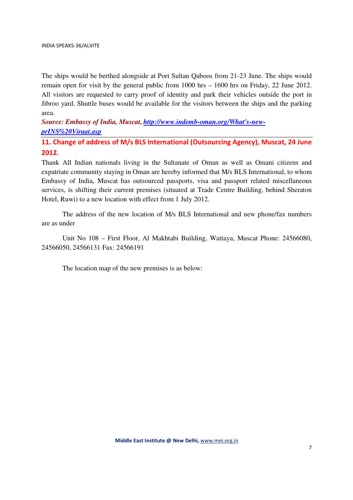The ships would be berthed alongside at Port Sultan Qaboos from 21-23 June. The ships would remain open for visit by the general public from 1000 hrs – 1600 hrs on Friday, 22 June 2012. All visitors are requested to carry proof of identity and park their vehicles outside the port in Jibroo yard. Shuttle buses would be available for the visitors between the ships and the parking area.

*Source: Embassy of India, Muscat*, *http://www.indemb-oman.org/What's-newprINS%20Viraat.asp*

11. Change of address of M/s BLS International (Outsourcing Agency), Muscat, 24 June 2012.

Thank All Indian nationals living in the Sultanate of Oman as well as Omani citizens and expatriate community staying in Oman are hereby informed that M/s BLS International, to whom Embassy of India, Muscat has outsourced passports, visa and passport related miscellaneous services, is shifting their current premises (situated at Trade Centre Building, behind Sheraton Hotel, Ruwi) to a new location with effect from 1 July 2012.

The address of the new location of M/s BLS International and new phone/fax numbers are as under

Unit No 108 – First Floor, Al Makhtabi Building, Wattaya, Muscat Phone: 24566080, 24566050, 24566131 Fax: 24566191

The location map of the new premises is as below: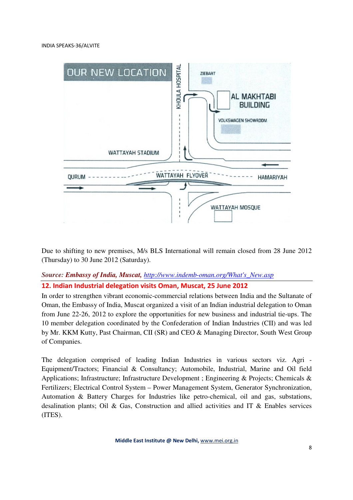

Due to shifting to new premises, M/s BLS International will remain closed from 28 June 2012 (Thursday) to 30 June 2012 (Saturday).

#### *Source: Embassy of India, Muscat, http://www.indemb-oman.org/What's\_New.asp*

#### 12. Indian Industrial delegation visits Oman, Muscat, 25 June 2012

In order to strengthen vibrant economic-commercial relations between India and the Sultanate of Oman, the Embassy of India, Muscat organized a visit of an Indian industrial delegation to Oman from June 22-26, 2012 to explore the opportunities for new business and industrial tie-ups. The 10 member delegation coordinated by the Confederation of Indian Industries (CII) and was led by Mr. KKM Kutty, Past Chairman, CII (SR) and CEO & Managing Director, South West Group of Companies.

The delegation comprised of leading Indian Industries in various sectors viz. Agri - Equipment/Tractors; Financial & Consultancy; Automobile, Industrial, Marine and Oil field Applications; Infrastructure; Infrastructure Development ; Engineering & Projects; Chemicals & Fertilizers; Electrical Control System – Power Management System, Generator Synchronization, Automation & Battery Charges for Industries like petro-chemical, oil and gas, substations, desalination plants; Oil & Gas, Construction and allied activities and IT & Enables services (ITES).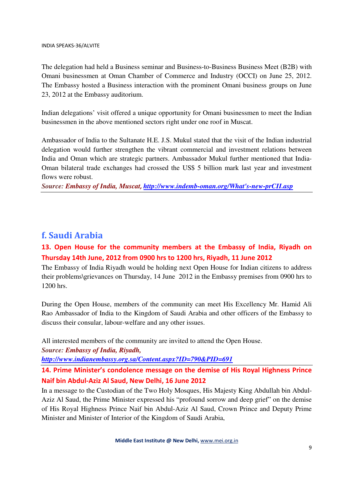The delegation had held a Business seminar and Business-to-Business Business Meet (B2B) with Omani businessmen at Oman Chamber of Commerce and Industry (OCCI) on June 25, 2012. The Embassy hosted a Business interaction with the prominent Omani business groups on June 23, 2012 at the Embassy auditorium.

Indian delegations' visit offered a unique opportunity for Omani businessmen to meet the Indian businessmen in the above mentioned sectors right under one roof in Muscat.

Ambassador of India to the Sultanate H.E. J.S. Mukul stated that the visit of the Indian industrial delegation would further strengthen the vibrant commercial and investment relations between India and Oman which are strategic partners. Ambassador Mukul further mentioned that India-Oman bilateral trade exchanges had crossed the US\$ 5 billion mark last year and investment flows were robust.

*Source: Embassy of India, Muscat*, *http://www.indemb-oman.org/What's-new-prCII.asp*

# f. Saudi Arabia

# 13. Open House for the community members at the Embassy of India, Riyadh on Thursday 14th June, 2012 from 0900 hrs to 1200 hrs, Riyadh, 11 June 2012

The Embassy of India Riyadh would be holding next Open House for Indian citizens to address their problems\grievances on Thursday, 14 June 2012 in the Embassy premises from 0900 hrs to 1200 hrs.

During the Open House, members of the community can meet His Excellency Mr. Hamid Ali Rao Ambassador of India to the Kingdom of Saudi Arabia and other officers of the Embassy to discuss their consular, labour-welfare and any other issues.

All interested members of the community are invited to attend the Open House.

*Source: Embassy of India, Riyadh,*

*http://www.indianembassy.org.sa/Content.aspx?ID=790&PID=691*

14. Prime Minister's condolence message on the demise of His Royal Highness Prince Naif bin Abdul-Aziz Al Saud, New Delhi, 16 June 2012

In a message to the Custodian of the Two Holy Mosques, His Majesty King Abdullah bin Abdul-Aziz Al Saud, the Prime Minister expressed his "profound sorrow and deep grief" on the demise of His Royal Highness Prince Naif bin Abdul-Aziz Al Saud, Crown Prince and Deputy Prime Minister and Minister of Interior of the Kingdom of Saudi Arabia,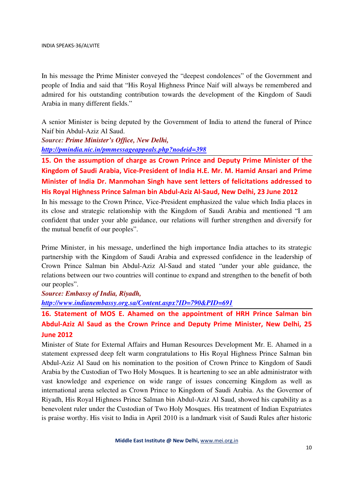In his message the Prime Minister conveyed the "deepest condolences" of the Government and people of India and said that "His Royal Highness Prince Naif will always be remembered and admired for his outstanding contribution towards the development of the Kingdom of Saudi Arabia in many different fields."

A senior Minister is being deputed by the Government of India to attend the funeral of Prince Naif bin Abdul-Aziz Al Saud.

*Source: Prime Minister's Office, New Delhi, http://pmindia.nic.in/pmmessageappeals.php?nodeid=398*

15. On the assumption of charge as Crown Prince and Deputy Prime Minister of the Kingdom of Saudi Arabia, Vice-President of India H.E. Mr. M. Hamid Ansari and Prime Minister of India Dr. Manmohan Singh have sent letters of felicitations addressed to His Royal Highness Prince Salman bin Abdul-Aziz Al-Saud, New Delhi, 23 June 2012

In his message to the Crown Prince, Vice-President emphasized the value which India places in its close and strategic relationship with the Kingdom of Saudi Arabia and mentioned "I am confident that under your able guidance, our relations will further strengthen and diversify for the mutual benefit of our peoples".

Prime Minister, in his message, underlined the high importance India attaches to its strategic partnership with the Kingdom of Saudi Arabia and expressed confidence in the leadership of Crown Prince Salman bin Abdul-Aziz Al-Saud and stated "under your able guidance, the relations between our two countries will continue to expand and strengthen to the benefit of both our peoples".

*Source: Embassy of India, Riyadh,*

*http://www.indianembassy.org.sa/Content.aspx?ID=790&PID=691*

16. Statement of MOS E. Ahamed on the appointment of HRH Prince Salman bin Abdul-Aziz Al Saud as the Crown Prince and Deputy Prime Minister, New Delhi, 25 June 2012

Minister of State for External Affairs and Human Resources Development Mr. E. Ahamed in a statement expressed deep felt warm congratulations to His Royal Highness Prince Salman bin Abdul-Aziz Al Saud on his nomination to the position of Crown Prince to Kingdom of Saudi Arabia by the Custodian of Two Holy Mosques. It is heartening to see an able administrator with vast knowledge and experience on wide range of issues concerning Kingdom as well as international arena selected as Crown Prince to Kingdom of Saudi Arabia. As the Governor of Riyadh, His Royal Highness Prince Salman bin Abdul-Aziz Al Saud, showed his capability as a benevolent ruler under the Custodian of Two Holy Mosques. His treatment of Indian Expatriates is praise worthy. His visit to India in April 2010 is a landmark visit of Saudi Rules after historic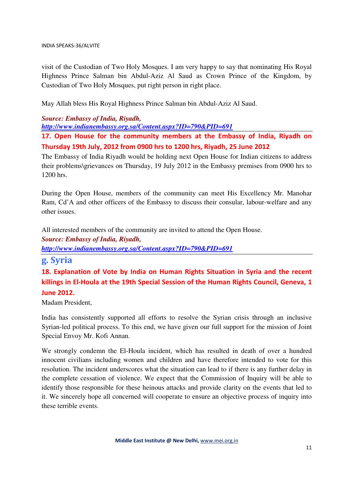visit of the Custodian of Two Holy Mosques. I am very happy to say that nominating His Royal Highness Prince Salman bin Abdul-Aziz Al Saud as Crown Prince of the Kingdom, by Custodian of Two Holy Mosques, put right person in right place.

May Allah bless His Royal Highness Prince Salman bin Abdul-Aziz Al Saud.

#### *Source: Embassy of India, Riyadh,*

*http://www.indianembassy.org.sa/Content.aspx?ID=790&PID=691*

17. Open House for the community members at the Embassy of India, Riyadh on Thursday 19th July, 2012 from 0900 hrs to 1200 hrs, Riyadh, 25 June 2012

The Embassy of India Riyadh would be holding next Open House for Indian citizens to address their problems\grievances on Thursday, 19 July 2012 in the Embassy premises from 0900 hrs to 1200 hrs.

During the Open House, members of the community can meet His Excellency Mr. Manohar Ram, Cd'A and other officers of the Embassy to discuss their consular, labour-welfare and any other issues.

All interested members of the community are invited to attend the Open House.

*Source: Embassy of India, Riyadh,*

*http://www.indianembassy.org.sa/Content.aspx?ID=790&PID=691*

# g. Syria

18. Explanation of Vote by India on Human Rights Situation in Syria and the recent killings in El-Houla at the 19th Special Session of the Human Rights Council, Geneva, 1 June 2012.

Madam President,

India has consistently supported all efforts to resolve the Syrian crisis through an inclusive Syrian-led political process. To this end, we have given our full support for the mission of Joint Special Envoy Mr. Kofi Annan.

We strongly condemn the El-Houla incident, which has resulted in death of over a hundred innocent civilians including women and children and have therefore intended to vote for this resolution. The incident underscores what the situation can lead to if there is any further delay in the complete cessation of violence. We expect that the Commission of Inquiry will be able to identify those responsible for these heinous attacks and provide clarity on the events that led to it. We sincerely hope all concerned will cooperate to ensure an objective process of inquiry into these terrible events.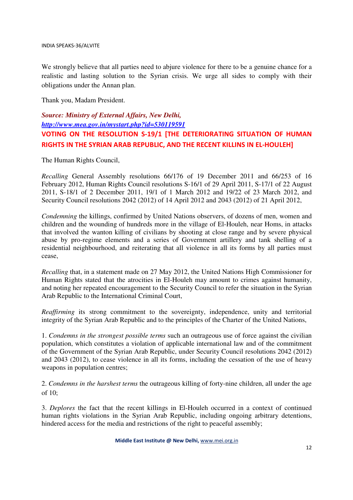We strongly believe that all parties need to abjure violence for there to be a genuine chance for a realistic and lasting solution to the Syrian crisis. We urge all sides to comply with their obligations under the Annan plan.

Thank you, Madam President.

# *Source: Ministry of External Affairs, New Delhi, http://www.mea.gov.in/mystart.php?id=530119591* VOTING ON THE RESOLUTION S-19/1 [THE DETERIORATING SITUATION OF HUMAN RIGHTS IN THE SYRIAN ARAB REPUBLIC, AND THE RECENT KILLINS IN EL-HOULEH]

The Human Rights Council,

*Recalling* General Assembly resolutions 66/176 of 19 December 2011 and 66/253 of 16 February 2012, Human Rights Council resolutions S-16/1 of 29 April 2011, S-17/1 of 22 August 2011, S-18/1 of 2 December 2011, 19/1 of 1 March 2012 and 19/22 of 23 March 2012, and Security Council resolutions 2042 (2012) of 14 April 2012 and 2043 (2012) of 21 April 2012,

*Condemning* the killings, confirmed by United Nations observers, of dozens of men, women and children and the wounding of hundreds more in the village of El-Houleh, near Homs, in attacks that involved the wanton killing of civilians by shooting at close range and by severe physical abuse by pro-regime elements and a series of Government artillery and tank shelling of a residential neighbourhood, and reiterating that all violence in all its forms by all parties must cease,

*Recalling* that, in a statement made on 27 May 2012, the United Nations High Commissioner for Human Rights stated that the atrocities in El-Houleh may amount to crimes against humanity, and noting her repeated encouragement to the Security Council to refer the situation in the Syrian Arab Republic to the International Criminal Court,

*Reaffirming* its strong commitment to the sovereignty, independence, unity and territorial integrity of the Syrian Arab Republic and to the principles of the Charter of the United Nations,

1. *Condemns in the strongest possible terms* such an outrageous use of force against the civilian population, which constitutes a violation of applicable international law and of the commitment of the Government of the Syrian Arab Republic, under Security Council resolutions 2042 (2012) and 2043 (2012), to cease violence in all its forms, including the cessation of the use of heavy weapons in population centres;

2. *Condemns in the harshest terms* the outrageous killing of forty-nine children, all under the age of 10;

3. *Deplores* the fact that the recent killings in El-Houleh occurred in a context of continued human rights violations in the Syrian Arab Republic, including ongoing arbitrary detentions, hindered access for the media and restrictions of the right to peaceful assembly;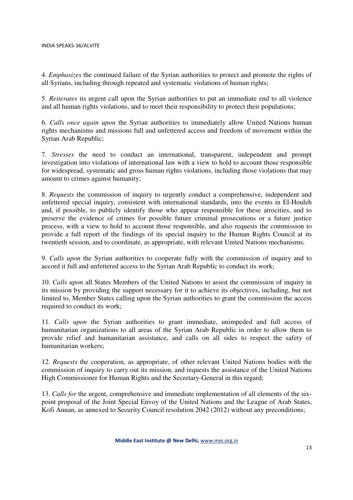4. *Emphasizes* the continued failure of the Syrian authorities to protect and promote the rights of all Syrians, including through repeated and systematic violations of human rights;

5. *Reiterates* its urgent call upon the Syrian authorities to put an immediate end to all violence and all human rights violations, and to meet their responsibility to protect their populations;

6. *Calls once again upon* the Syrian authorities to immediately allow United Nations human rights mechanisms and missions full and unfettered access and freedom of movement within the Syrian Arab Republic;

7. *Stresses* the need to conduct an international, transparent, independent and prompt investigation into violations of international law with a view to hold to account those responsible for widespread, systematic and gross human rights violations, including those violations that may amount to crimes against humanity;

8. *Requests* the commission of inquiry to urgently conduct a comprehensive, independent and unfettered special inquiry, consistent with international standards, into the events in El-Houleh and, if possible, to publicly identify those who appear responsible for these atrocities, and to preserve the evidence of crimes for possible future criminal prosecutions or a future justice process, with a view to hold to account those responsible, and also requests the commission to provide a full report of the findings of its special inquiry to the Human Rights Council at its twentieth session, and to coordinate, as appropriate, with relevant United Nations mechanisms;

9. *Calls upon* the Syrian authorities to cooperate fully with the commission of inquiry and to accord it full and unfettered access to the Syrian Arab Republic to conduct its work;

10. *Calls upon* all States Members of the United Nations to assist the commission of inquiry in its mission by providing the support necessary for it to achieve its objectives, including, but not limited to, Member States calling upon the Syrian authorities to grant the commission the access required to conduct its work;

11. *Calls upon* the Syrian authorities to grant immediate, unimpeded and full access of humanitarian organizations to all areas of the Syrian Arab Republic in order to allow them to provide relief and humanitarian assistance, and calls on all sides to respect the safety of humanitarian workers;

12. *Requests* the cooperation, as appropriate, of other relevant United Nations bodies with the commission of inquiry to carry out its mission, and requests the assistance of the United Nations High Commissioner for Human Rights and the Secretary-General in this regard;

13. *Calls for* the urgent, comprehensive and immediate implementation of all elements of the sixpoint proposal of the Joint Special Envoy of the United Nations and the League of Arab States, Kofi Annan, as annexed to Security Council resolution 2042 (2012) without any preconditions;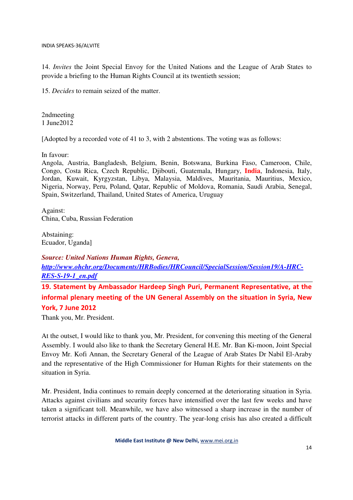14. *Invites* the Joint Special Envoy for the United Nations and the League of Arab States to provide a briefing to the Human Rights Council at its twentieth session;

15. *Decides* to remain seized of the matter.

2ndmeeting 1 June2012

[Adopted by a recorded vote of 41 to 3, with 2 abstentions. The voting was as follows:

In favour:

Angola, Austria, Bangladesh, Belgium, Benin, Botswana, Burkina Faso, Cameroon, Chile, Congo, Costa Rica, Czech Republic, Djibouti, Guatemala, Hungary, **India**, Indonesia, Italy, Jordan, Kuwait, Kyrgyzstan, Libya, Malaysia, Maldives, Mauritania, Mauritius, Mexico, Nigeria, Norway, Peru, Poland, Qatar, Republic of Moldova, Romania, Saudi Arabia, Senegal, Spain, Switzerland, Thailand, United States of America, Uruguay

Against: China, Cuba, Russian Federation

Abstaining: Ecuador, Uganda]

*Source: United Nations Human Rights, Geneva, http://www.ohchr.org/Documents/HRBodies/HRCouncil/SpecialSession/Session19/A-HRC-RES-S-19-1\_en.pdf*

19. Statement by Ambassador Hardeep Singh Puri, Permanent Representative, at the informal plenary meeting of the UN General Assembly on the situation in Syria, New York, 7 June 2012

Thank you, Mr. President.

At the outset, I would like to thank you, Mr. President, for convening this meeting of the General Assembly. I would also like to thank the Secretary General H.E. Mr. Ban Ki-moon, Joint Special Envoy Mr. Kofi Annan, the Secretary General of the League of Arab States Dr Nabil El-Araby and the representative of the High Commissioner for Human Rights for their statements on the situation in Syria.

Mr. President, India continues to remain deeply concerned at the deteriorating situation in Syria. Attacks against civilians and security forces have intensified over the last few weeks and have taken a significant toll. Meanwhile, we have also witnessed a sharp increase in the number of terrorist attacks in different parts of the country. The year-long crisis has also created a difficult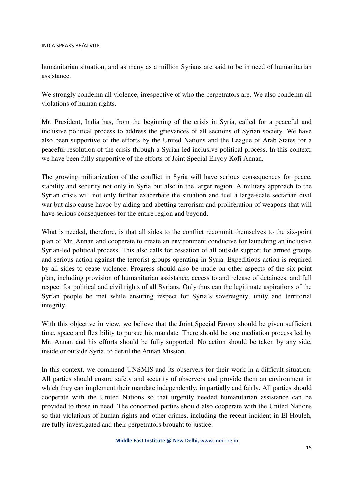humanitarian situation, and as many as a million Syrians are said to be in need of humanitarian assistance.

We strongly condemn all violence, irrespective of who the perpetrators are. We also condemn all violations of human rights.

Mr. President, India has, from the beginning of the crisis in Syria, called for a peaceful and inclusive political process to address the grievances of all sections of Syrian society. We have also been supportive of the efforts by the United Nations and the League of Arab States for a peaceful resolution of the crisis through a Syrian-led inclusive political process. In this context, we have been fully supportive of the efforts of Joint Special Envoy Kofi Annan.

The growing militarization of the conflict in Syria will have serious consequences for peace, stability and security not only in Syria but also in the larger region. A military approach to the Syrian crisis will not only further exacerbate the situation and fuel a large-scale sectarian civil war but also cause havoc by aiding and abetting terrorism and proliferation of weapons that will have serious consequences for the entire region and beyond.

What is needed, therefore, is that all sides to the conflict recommit themselves to the six-point plan of Mr. Annan and cooperate to create an environment conducive for launching an inclusive Syrian-led political process. This also calls for cessation of all outside support for armed groups and serious action against the terrorist groups operating in Syria. Expeditious action is required by all sides to cease violence. Progress should also be made on other aspects of the six-point plan, including provision of humanitarian assistance, access to and release of detainees, and full respect for political and civil rights of all Syrians. Only thus can the legitimate aspirations of the Syrian people be met while ensuring respect for Syria's sovereignty, unity and territorial integrity.

With this objective in view, we believe that the Joint Special Envoy should be given sufficient time, space and flexibility to pursue his mandate. There should be one mediation process led by Mr. Annan and his efforts should be fully supported. No action should be taken by any side, inside or outside Syria, to derail the Annan Mission.

In this context, we commend UNSMIS and its observers for their work in a difficult situation. All parties should ensure safety and security of observers and provide them an environment in which they can implement their mandate independently, impartially and fairly. All parties should cooperate with the United Nations so that urgently needed humanitarian assistance can be provided to those in need. The concerned parties should also cooperate with the United Nations so that violations of human rights and other crimes, including the recent incident in El-Houleh, are fully investigated and their perpetrators brought to justice.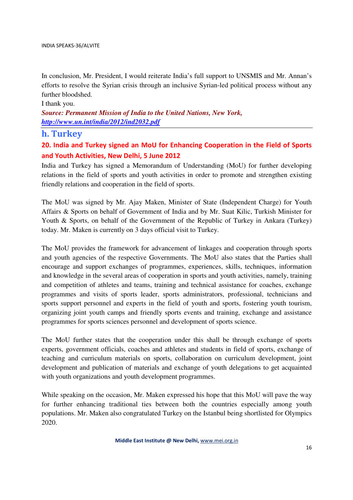In conclusion, Mr. President, I would reiterate India's full support to UNSMIS and Mr. Annan's efforts to resolve the Syrian crisis through an inclusive Syrian-led political process without any further bloodshed.

#### I thank you.

*Source: Permanent Mission of India to the United Nations, New York, http://www.un.int/india/2012/ind2032.pdf*

#### h. Turkey

# 20. India and Turkey signed an MoU for Enhancing Cooperation in the Field of Sports and Youth Activities, New Delhi, 5 June 2012

India and Turkey has signed a Memorandum of Understanding (MoU) for further developing relations in the field of sports and youth activities in order to promote and strengthen existing friendly relations and cooperation in the field of sports.

The MoU was signed by Mr. Ajay Maken, Minister of State (Independent Charge) for Youth Affairs & Sports on behalf of Government of India and by Mr. Suat Kilic, Turkish Minister for Youth & Sports, on behalf of the Government of the Republic of Turkey in Ankara (Turkey) today. Mr. Maken is currently on 3 days official visit to Turkey.

The MoU provides the framework for advancement of linkages and cooperation through sports and youth agencies of the respective Governments. The MoU also states that the Parties shall encourage and support exchanges of programmes, experiences, skills, techniques, information and knowledge in the several areas of cooperation in sports and youth activities, namely, training and competition of athletes and teams, training and technical assistance for coaches, exchange programmes and visits of sports leader, sports administrators, professional, technicians and sports support personnel and experts in the field of youth and sports, fostering youth tourism, organizing joint youth camps and friendly sports events and training, exchange and assistance programmes for sports sciences personnel and development of sports science.

The MoU further states that the cooperation under this shall be through exchange of sports experts, government officials, coaches and athletes and students in field of sports, exchange of teaching and curriculum materials on sports, collaboration on curriculum development, joint development and publication of materials and exchange of youth delegations to get acquainted with youth organizations and youth development programmes.

While speaking on the occasion, Mr. Maken expressed his hope that this MoU will pave the way for further enhancing traditional ties between both the countries especially among youth populations. Mr. Maken also congratulated Turkey on the Istanbul being shortlisted for Olympics 2020.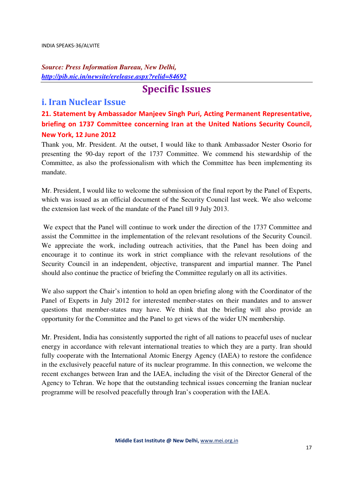# *Source: Press Information Bureau, New Delhi*, *http://pib.nic.in/newsite/erelease.aspx?relid=84692*

# Specific Issues

# i. Iran Nuclear Issue

21. Statement by Ambassador Manjeev Singh Puri, Acting Permanent Representative, briefing on 1737 Committee concerning Iran at the United Nations Security Council, New York, 12 June 2012

Thank you, Mr. President. At the outset, I would like to thank Ambassador Nester Osorio for presenting the 90-day report of the 1737 Committee. We commend his stewardship of the Committee, as also the professionalism with which the Committee has been implementing its mandate.

Mr. President, I would like to welcome the submission of the final report by the Panel of Experts, which was issued as an official document of the Security Council last week. We also welcome the extension last week of the mandate of the Panel till 9 July 2013.

 We expect that the Panel will continue to work under the direction of the 1737 Committee and assist the Committee in the implementation of the relevant resolutions of the Security Council. We appreciate the work, including outreach activities, that the Panel has been doing and encourage it to continue its work in strict compliance with the relevant resolutions of the Security Council in an independent, objective, transparent and impartial manner. The Panel should also continue the practice of briefing the Committee regularly on all its activities.

We also support the Chair's intention to hold an open briefing along with the Coordinator of the Panel of Experts in July 2012 for interested member-states on their mandates and to answer questions that member-states may have. We think that the briefing will also provide an opportunity for the Committee and the Panel to get views of the wider UN membership.

Mr. President, India has consistently supported the right of all nations to peaceful uses of nuclear energy in accordance with relevant international treaties to which they are a party. Iran should fully cooperate with the International Atomic Energy Agency (IAEA) to restore the confidence in the exclusively peaceful nature of its nuclear programme. In this connection, we welcome the recent exchanges between Iran and the IAEA, including the visit of the Director General of the Agency to Tehran. We hope that the outstanding technical issues concerning the Iranian nuclear programme will be resolved peacefully through Iran's cooperation with the IAEA.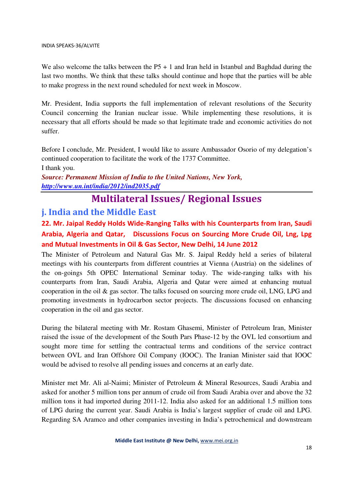We also welcome the talks between the  $P5 + 1$  and Iran held in Istanbul and Baghdad during the last two months. We think that these talks should continue and hope that the parties will be able to make progress in the next round scheduled for next week in Moscow.

Mr. President, India supports the full implementation of relevant resolutions of the Security Council concerning the Iranian nuclear issue. While implementing these resolutions, it is necessary that all efforts should be made so that legitimate trade and economic activities do not suffer.

Before I conclude, Mr. President, I would like to assure Ambassador Osorio of my delegation's continued cooperation to facilitate the work of the 1737 Committee. I thank you.

*Source: Permanent Mission of India to the United Nations, New York, http://www.un.int/india/2012/ind2035.pdf*

# Multilateral Issues/ Regional Issues

# j. India and the Middle East

22. Mr. Jaipal Reddy Holds Wide-Ranging Talks with his Counterparts from Iran, Saudi Arabia, Algeria and Qatar, Discussions Focus on Sourcing More Crude Oil, Lng, Lpg and Mutual Investments in Oil & Gas Sector, New Delhi, 14 June 2012

The Minister of Petroleum and Natural Gas Mr. S. Jaipal Reddy held a series of bilateral meetings with his counterparts from different countries at Vienna (Austria) on the sidelines of the on-goings 5th OPEC International Seminar today. The wide-ranging talks with his counterparts from Iran, Saudi Arabia, Algeria and Qatar were aimed at enhancing mutual cooperation in the oil  $\&$  gas sector. The talks focused on sourcing more crude oil, LNG, LPG and promoting investments in hydrocarbon sector projects. The discussions focused on enhancing cooperation in the oil and gas sector.

During the bilateral meeting with Mr. Rostam Ghasemi, Minister of Petroleum Iran, Minister raised the issue of the development of the South Pars Phase-12 by the OVL led consortium and sought more time for settling the contractual terms and conditions of the service contract between OVL and Iran Offshore Oil Company (IOOC). The Iranian Minister said that IOOC would be advised to resolve all pending issues and concerns at an early date.

Minister met Mr. Ali al-Naimi; Minister of Petroleum & Mineral Resources, Saudi Arabia and asked for another 5 million tons per annum of crude oil from Saudi Arabia over and above the 32 million tons it had imported during 2011-12. India also asked for an additional 1.5 million tons of LPG during the current year. Saudi Arabia is India's largest supplier of crude oil and LPG. Regarding SA Aramco and other companies investing in India's petrochemical and downstream